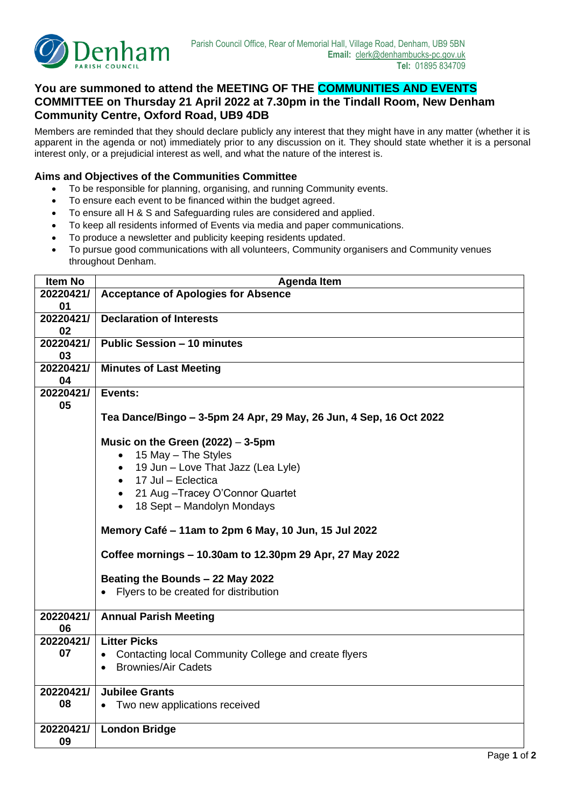

## **You are summoned to attend the MEETING OF THE COMMUNITIES AND EVENTS COMMITTEE on Thursday 21 April 2022 at 7.30pm in the Tindall Room, New Denham Community Centre, Oxford Road, UB9 4DB**

Members are reminded that they should declare publicly any interest that they might have in any matter (whether it is apparent in the agenda or not) immediately prior to any discussion on it. They should state whether it is a personal interest only, or a prejudicial interest as well, and what the nature of the interest is.

## **Aims and Objectives of the Communities Committee**

- To be responsible for planning, organising, and running Community events.
- To ensure each event to be financed within the budget agreed.
- To ensure all H & S and Safeguarding rules are considered and applied.
- To keep all residents informed of Events via media and paper communications.
- To produce a newsletter and publicity keeping residents updated.
- To pursue good communications with all volunteers, Community organisers and Community venues throughout Denham.

| <b>Item No</b>  | <b>Agenda Item</b>                                                 |  |  |  |  |
|-----------------|--------------------------------------------------------------------|--|--|--|--|
| 20220421/       | <b>Acceptance of Apologies for Absence</b>                         |  |  |  |  |
| 01              |                                                                    |  |  |  |  |
| 20220421/       | <b>Declaration of Interests</b>                                    |  |  |  |  |
| 02              |                                                                    |  |  |  |  |
| 20220421/       | <b>Public Session - 10 minutes</b>                                 |  |  |  |  |
| 03              |                                                                    |  |  |  |  |
| 20220421/       | <b>Minutes of Last Meeting</b>                                     |  |  |  |  |
| 04              |                                                                    |  |  |  |  |
| 20220421/<br>05 | Events:                                                            |  |  |  |  |
|                 | Tea Dance/Bingo – 3-5pm 24 Apr, 29 May, 26 Jun, 4 Sep, 16 Oct 2022 |  |  |  |  |
|                 | Music on the Green $(2022) - 3-5$ pm                               |  |  |  |  |
|                 | 15 May - The Styles<br>$\bullet$                                   |  |  |  |  |
|                 | 19 Jun – Love That Jazz (Lea Lyle)<br>$\bullet$                    |  |  |  |  |
|                 | • 17 Jul - Eclectica                                               |  |  |  |  |
|                 |                                                                    |  |  |  |  |
|                 | • 21 Aug - Tracey O'Connor Quartet                                 |  |  |  |  |
|                 | • 18 Sept - Mandolyn Mondays                                       |  |  |  |  |
|                 | Memory Café - 11am to 2pm 6 May, 10 Jun, 15 Jul 2022               |  |  |  |  |
|                 | Coffee mornings - 10.30am to 12.30pm 29 Apr, 27 May 2022           |  |  |  |  |
|                 | Beating the Bounds - 22 May 2022                                   |  |  |  |  |
|                 | Flyers to be created for distribution<br>$\bullet$                 |  |  |  |  |
|                 |                                                                    |  |  |  |  |
| 20220421/       | <b>Annual Parish Meeting</b>                                       |  |  |  |  |
| 06              |                                                                    |  |  |  |  |
| 20220421/       | <b>Litter Picks</b>                                                |  |  |  |  |
| 07              | Contacting local Community College and create flyers<br>$\bullet$  |  |  |  |  |
|                 | <b>Brownies/Air Cadets</b><br>$\bullet$                            |  |  |  |  |
|                 |                                                                    |  |  |  |  |
| 20220421/       | <b>Jubilee Grants</b>                                              |  |  |  |  |
| 08              | Two new applications received                                      |  |  |  |  |
|                 |                                                                    |  |  |  |  |
| 20220421/       | <b>London Bridge</b>                                               |  |  |  |  |
| 09              |                                                                    |  |  |  |  |